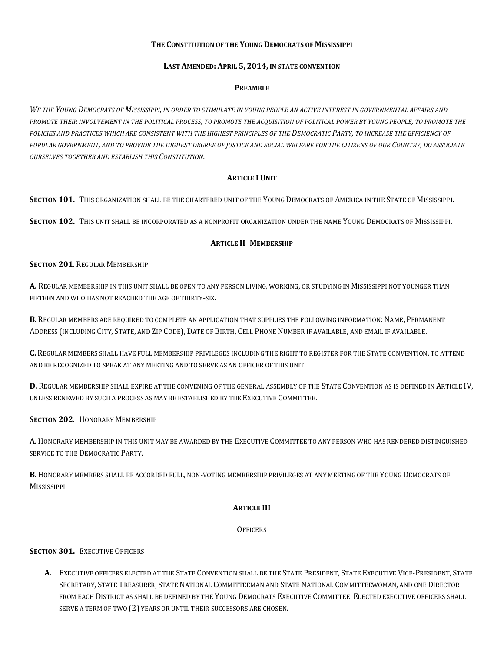### **THE CONSTITUTION OF THE YOUNG DEMOCRATS OF MISSISSIPPI**

### **LAST AMENDED: APRIL 5, 2014, IN STATE CONVENTION**

#### **PREAMBLE**

*WE THE YOUNG DEMOCRATS OF MISSISSIPPI, IN ORDER TO STIMULATE IN YOUNG PEOPLE AN ACTIVE INTEREST IN GOVERNMENTAL AFFAIRS AND PROMOTE THEIR INVOLVEMENT IN THE POLITICAL PROCESS, TO PROMOTE THE ACQUISITION OF POLITICAL POWER BY YOUNG PEOPLE, TO PROMOTE THE POLICIES AND PRACTICES WHICH ARE CONSISTENT WITH THE HIGHEST PRINCIPLES OF THE DEMOCRATIC PARTY, TO INCREASE THE EFFICIENCY OF POPULAR GOVERNMENT, AND TO PROVIDE THE HIGHEST DEGREE OF JUSTICE AND SOCIAL WELFARE FOR THE CITIZENS OF OUR COUNTRY, DO ASSOCIATE OURSELVES TOGETHER AND ESTABLISH THIS CONSTITUTION.*

#### **ARTICLE I UNIT**

**SECTION 101.** THIS ORGANIZATION SHALL BE THE CHARTERED UNIT OF THE YOUNG DEMOCRATS OF AMERICA IN THE STATE OF MISSISSIPPI.

**SECTION 102.** THIS UNIT SHALL BE INCORPORATED AS A NONPROFIT ORGANIZATION UNDER THE NAME YOUNG DEMOCRATS OF MISSISSIPPI.

#### **ARTICLE II MEMBERSHIP**

#### **SECTION 201**. REGULAR MEMBERSHIP

**A.** REGULAR MEMBERSHIP IN THIS UNIT SHALL BE OPEN TO ANY PERSON LIVING, WORKING, OR STUDYING IN MISSISSIPPI NOT YOUNGER THAN FIFTEEN AND WHO HAS NOT REACHED THE AGE OF THIRTY-SIX.

**B**. REGULAR MEMBERS ARE REQUIRED TO COMPLETE AN APPLICATION THAT SUPPLIES THE FOLLOWING INFORMATION: NAME, PERMANENT ADDRESS (INCLUDING CITY, STATE, AND ZIP CODE), DATE OF BIRTH, CELL PHONE NUMBER IF AVAILABLE, AND EMAIL IF AVAILABLE.

**C.** REGULAR MEMBERS SHALL HAVE FULL MEMBERSHIP PRIVILEGES INCLUDING THE RIGHT TO REGISTER FOR THE STATE CONVENTION, TO ATTEND AND BE RECOGNIZED TO SPEAK AT ANY MEETING AND TO SERVE AS AN OFFICER OF THIS UNIT.

**D.** REGULAR MEMBERSHIP SHALL EXPIRE AT THE CONVENING OF THE GENERAL ASSEMBLY OF THE STATE CONVENTION AS IS DEFINED IN ARTICLE IV, UNLESS RENEWED BY SUCH A PROCESS AS MAY BE ESTABLISHED BY THE EXECUTIVE COMMITTEE.

#### **SECTION 202**. HONORARY MEMBERSHIP

**A**. HONORARY MEMBERSHIP IN THIS UNIT MAY BE AWARDED BY THE EXECUTIVE COMMITTEE TO ANY PERSON WHO HAS RENDERED DISTINGUISHED SERVICE TO THE DEMOCRATIC PARTY.

**B**. HONORARY MEMBERS SHALL BE ACCORDED FULL, NON-VOTING MEMBERSHIP PRIVILEGES AT ANY MEETING OF THE YOUNG DEMOCRATS OF MISSISSIPPI.

### **ARTICLE III**

#### **OFFICERS**

### **SECTION 301.** EXECUTIVE OFFICERS

**A.** EXECUTIVE OFFICERS ELECTED AT THE STATE CONVENTION SHALL BE THE STATE PRESIDENT, STATE EXECUTIVE VICE-PRESIDENT, STATE SECRETARY, STATE TREASURER, STATE NATIONAL COMMITTEEMAN AND STATE NATIONAL COMMITTEEWOMAN, AND ONE DIRECTOR FROM EACH DISTRICT AS SHALL BE DEFINED BY THE YOUNG DEMOCRATS EXECUTIVE COMMITTEE. ELECTED EXECUTIVE OFFICERS SHALL SERVE A TERM OF TWO (2) YEARS OR UNTIL THEIR SUCCESSORS ARE CHOSEN.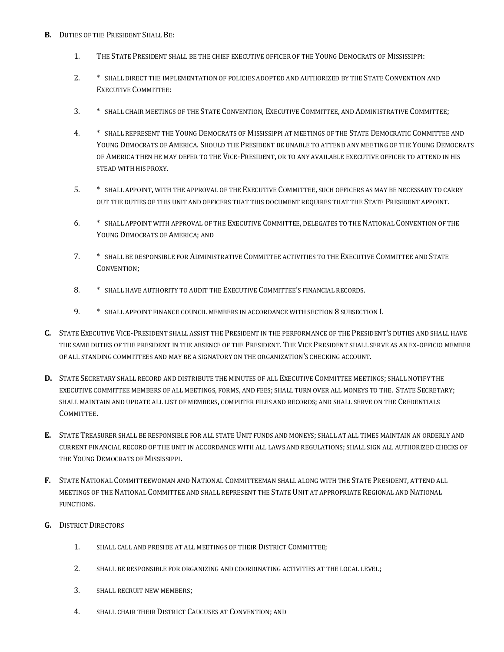- **B.** DUTIES OF THE PRESIDENT SHALL BE:
	- 1. THE STATE PRESIDENT SHALL BE THE CHIEF EXECUTIVE OFFICER OF THE YOUNG DEMOCRATS OF MISSISSIPPI:
	- 2. \* SHALL DIRECT THE IMPLEMENTATION OF POLICIES ADOPTED AND AUTHORIZED BY THE STATE CONVENTION AND EXECUTIVE COMMITTEE:
	- 3. \* SHALL CHAIR MEETINGS OF THE STATE CONVENTION, EXECUTIVE COMMITTEE, AND ADMINISTRATIVE COMMITTEE;
	- 4. \* SHALL REPRESENT THE YOUNG DEMOCRATS OF MISSISSIPPI AT MEETINGS OF THE STATE DEMOCRATIC COMMITTEE AND YOUNG DEMOCRATS OF AMERICA. SHOULD THE PRESIDENT BE UNABLE TO ATTEND ANY MEETING OF THE YOUNG DEMOCRATS OF AMERICA THEN HE MAY DEFER TO THE VICE-PRESIDENT, OR TO ANY AVAILABLE EXECUTIVE OFFICER TO ATTEND IN HIS STEAD WITH HIS PROXY.
	- 5. \* SHALL APPOINT, WITH THE APPROVAL OF THE EXECUTIVE COMMITTEE, SUCH OFFICERS AS MAY BE NECESSARY TO CARRY OUT THE DUTIES OF THIS UNIT AND OFFICERS THAT THIS DOCUMENT REQUIRES THAT THE STATE PRESIDENT APPOINT.
	- 6. \* SHALL APPOINT WITH APPROVAL OF THE EXECUTIVE COMMITTEE, DELEGATES TO THE NATIONAL CONVENTION OF THE YOUNG DEMOCRATS OF AMERICA; AND
	- 7. \* SHALL BE RESPONSIBLE FOR ADMINISTRATIVE COMMITTEE ACTIVITIES TO THE EXECUTIVE COMMITTEE AND STATE CONVENTION;
	- 8. \* SHALL HAVE AUTHORITY TO AUDIT THE EXECUTIVE COMMITTEE'S FINANCIAL RECORDS.
	- 9. \* SHALL APPOINT FINANCE COUNCIL MEMBERS IN ACCORDANCE WITH SECTION 8 SUBSECTION I.
- **C.** STATE EXECUTIVE VICE-PRESIDENT SHALL ASSIST THE PRESIDENT IN THE PERFORMANCE OF THE PRESIDENT'S DUTIES AND SHALL HAVE THE SAME DUTIES OF THE PRESIDENT IN THE ABSENCE OF THE PRESIDENT. THE VICE PRESIDENT SHALL SERVE AS AN EX-OFFICIO MEMBER OF ALL STANDING COMMITTEES AND MAY BE A SIGNATORY ON THE ORGANIZATION'S CHECKING ACCOUNT.
- **D.** STATE SECRETARY SHALL RECORD AND DISTRIBUTE THE MINUTES OF ALL EXECUTIVE COMMITTEE MEETINGS; SHALL NOTIFY THE EXECUTIVE COMMITTEE MEMBERS OF ALL MEETINGS, FORMS, AND FEES; SHALL TURN OVER ALL MONEYS TO THE. STATE SECRETARY; SHALL MAINTAIN AND UPDATE ALL LIST OF MEMBERS, COMPUTER FILES AND RECORDS; AND SHALL SERVE ON THE CREDENTIALS COMMITTEE.
- **E.** STATE TREASURER SHALL BE RESPONSIBLE FOR ALL STATE UNIT FUNDS AND MONEYS; SHALL AT ALL TIMES MAINTAIN AN ORDERLY AND CURRENT FINANCIAL RECORD OF THE UNIT IN ACCORDANCE WITH ALL LAWS AND REGULATIONS; SHALL SIGN ALL AUTHORIZED CHECKS OF THE YOUNG DEMOCRATS OF MISSISSIPPI.
- **F.** STATE NATIONAL COMMITTEEWOMAN AND NATIONAL COMMITTEEMAN SHALL ALONG WITH THE STATE PRESIDENT, ATTEND ALL MEETINGS OF THE NATIONAL COMMITTEE AND SHALL REPRESENT THE STATE UNIT AT APPROPRIATE REGIONAL AND NATIONAL FUNCTIONS.
- **G.** DISTRICT DIRECTORS
	- 1. SHALL CALL AND PRESIDE AT ALL MEETINGS OF THEIR DISTRICT COMMITTEE;
	- 2. SHALL BE RESPONSIBLE FOR ORGANIZING AND COORDINATING ACTIVITIES AT THE LOCAL LEVEL;
	- 3. SHALL RECRUIT NEW MEMBERS;
	- 4. SHALL CHAIR THEIR DISTRICT CAUCUSES AT CONVENTION; AND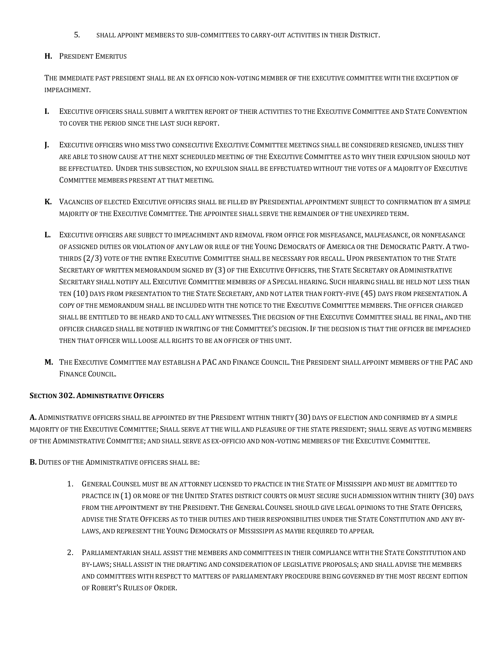5. SHALL APPOINT MEMBERS TO SUB-COMMITTEES TO CARRY-OUT ACTIVITIES IN THEIR DISTRICT.

## **H.** PRESIDENT EMERITUS

THE IMMEDIATE PAST PRESIDENT SHALL BE AN EX OFFICIO NON-VOTING MEMBER OF THE EXECUTIVE COMMITTEE WITH THE EXCEPTION OF IMPEACHMENT.

- **I.** EXECUTIVE OFFICERS SHALL SUBMIT A WRITTEN REPORT OF THEIR ACTIVITIES TO THE EXECUTIVE COMMITTEE AND STATE CONVENTION TO COVER THE PERIOD SINCE THE LAST SUCH REPORT.
- **J.** EXECUTIVE OFFICERS WHO MISS TWO CONSECUTIVE EXECUTIVE COMMITTEE MEETINGS SHALL BE CONSIDERED RESIGNED, UNLESS THEY ARE ABLE TO SHOW CAUSE AT THE NEXT SCHEDULED MEETING OF THE EXECUTIVE COMMITTEE AS TO WHY THEIR EXPULSION SHOULD NOT BE EFFECTUATED. UNDER THIS SUBSECTION, NO EXPULSION SHALL BE EFFECTUATED WITHOUT THE VOTES OF A MAJORITY OF EXECUTIVE COMMITTEE MEMBERS PRESENT AT THAT MEETING.
- **K.** VACANCIES OF ELECTED EXECUTIVE OFFICERS SHALL BE FILLED BY PRESIDENTIAL APPOINTMENT SUBJECT TO CONFIRMATION BY A SIMPLE MAJORITY OF THE EXECUTIVE COMMITTEE. THE APPOINTEE SHALL SERVE THE REMAINDER OF THE UNEXPIRED TERM.
- **L.** EXECUTIVE OFFICERS ARE SUBJECT TO IMPEACHMENT AND REMOVAL FROM OFFICE FOR MISFEASANCE, MALFEASANCE, OR NONFEASANCE OF ASSIGNED DUTIES OR VIOLATION OF ANY LAW OR RULE OF THE YOUNG DEMOCRATS OF AMERICA OR THE DEMOCRATIC PARTY. A TWO-THIRDS (2/3) VOTE OF THE ENTIRE EXECUTIVE COMMITTEE SHALL BE NECESSARY FOR RECALL. UPON PRESENTATION TO THE STATE SECRETARY OF WRITTEN MEMORANDUM SIGNED BY (3) OF THE EXECUTIVE OFFICERS, THE STATE SECRETARY OR ADMINISTRATIVE SECRETARY SHALL NOTIFY ALL EXECUTIVE COMMITTEE MEMBERS OF A SPECIAL HEARING. SUCH HEARING SHALL BE HELD NOT LESS THAN TEN (10) DAYS FROM PRESENTATION TO THE STATE SECRETARY, AND NOT LATER THAN FORTY-FIVE (45) DAYS FROM PRESENTATION. A COPY OF THE MEMORANDUM SHALL BE INCLUDED WITH THE NOTICE TO THE EXECUTIVE COMMITTEE MEMBERS. THE OFFICER CHARGED SHALL BE ENTITLED TO BE HEARD AND TO CALL ANY WITNESSES. THE DECISION OF THE EXECUTIVE COMMITTEE SHALL BE FINAL, AND THE OFFICER CHARGED SHALL BE NOTIFIED IN WRITING OF THE COMMITTEE'S DECISION. IF THE DECISION IS THAT THE OFFICER BE IMPEACHED THEN THAT OFFICER WILL LOOSE ALL RIGHTS TO BE AN OFFICER OF THIS UNIT.
- **M.** THE EXECUTIVE COMMITTEE MAY ESTABLISH A PAC AND FINANCE COUNCIL. THE PRESIDENT SHALL APPOINT MEMBERS OF THE PAC AND FINANCE COUNCIL.

# **SECTION 302. ADMINISTRATIVE OFFICERS**

**A.** ADMINISTRATIVE OFFICERS SHALL BE APPOINTED BY THE PRESIDENT WITHIN THIRTY (30) DAYS OF ELECTION AND CONFIRMED BY A SIMPLE MAJORITY OF THE EXECUTIVE COMMITTEE; SHALL SERVE AT THE WILL AND PLEASURE OF THE STATE PRESIDENT; SHALL SERVE AS VOTING MEMBERS OF THE ADMINISTRATIVE COMMITTEE; AND SHALL SERVE AS EX-OFFICIO AND NON-VOTING MEMBERS OF THE EXECUTIVE COMMITTEE.

**B.** DUTIES OF THE ADMINISTRATIVE OFFICERS SHALL BE:

- 1. GENERAL COUNSEL MUST BE AN ATTORNEY LICENSED TO PRACTICE IN THE STATE OF MISSISSIPPI AND MUST BE ADMITTED TO PRACTICE IN (1) OR MORE OF THE UNITED STATES DISTRICT COURTS OR MUST SECURE SUCH ADMISSION WITHIN THIRTY (30) DAYS FROM THE APPOINTMENT BY THE PRESIDENT. THE GENERAL COUNSEL SHOULD GIVE LEGAL OPINIONS TO THE STATE OFFICERS, ADVISE THE STATE OFFICERS AS TO THEIR DUTIES AND THEIR RESPONSIBILITIES UNDER THE STATE CONSTITUTION AND ANY BY-LAWS, AND REPRESENT THE YOUNG DEMOCRATS OF MISSISSIPPI AS MAYBE REQUIRED TO APPEAR.
- 2. PARLIAMENTARIAN SHALL ASSIST THE MEMBERS AND COMMITTEES IN THEIR COMPLIANCE WITH THE STATE CONSTITUTION AND BY-LAWS; SHALL ASSIST IN THE DRAFTING AND CONSIDERATION OF LEGISLATIVE PROPOSALS; AND SHALL ADVISE THE MEMBERS AND COMMITTEES WITH RESPECT TO MATTERS OF PARLIAMENTARY PROCEDURE BEING GOVERNED BY THE MOST RECENT EDITION OF ROBERT'S RULES OF ORDER.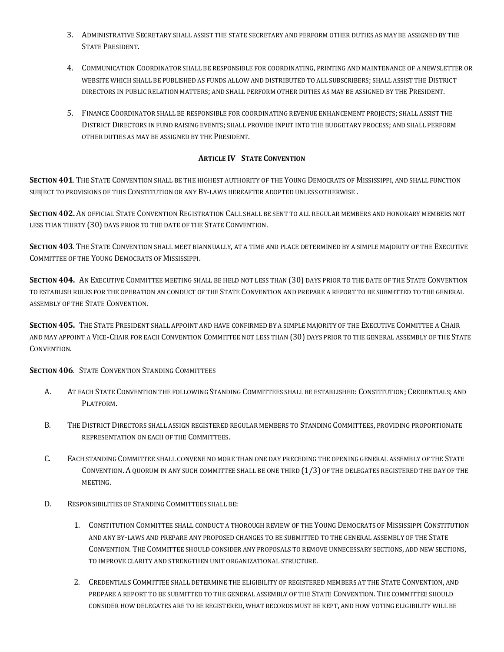- 3. ADMINISTRATIVE SECRETARY SHALL ASSIST THE STATE SECRETARY AND PERFORM OTHER DUTIES AS MAY BE ASSIGNED BY THE STATE PRESIDENT.
- 4. COMMUNICATION COORDINATOR SHALL BE RESPONSIBLE FOR COORDINATING, PRINTING AND MAINTENANCE OF A NEWSLETTER OR WEBSITE WHICH SHALL BE PUBLISHED AS FUNDS ALLOW AND DISTRIBUTED TO ALL SUBSCRIBERS; SHALL ASSIST THE DISTRICT DIRECTORS IN PUBLIC RELATION MATTERS; AND SHALL PERFORM OTHER DUTIES AS MAY BE ASSIGNED BY THE PRESIDENT.
- 5. FINANCE COORDINATOR SHALL BE RESPONSIBLE FOR COORDINATING REVENUE ENHANCEMENT PROJECTS; SHALL ASSIST THE DISTRICT DIRECTORS IN FUND RAISING EVENTS; SHALL PROVIDE INPUT INTO THE BUDGETARY PROCESS; AND SHALL PERFORM OTHER DUTIES AS MAY BE ASSIGNED BY THE PRESIDENT.

# **ARTICLE IV STATE CONVENTION**

**SECTION 401**. THE STATE CONVENTION SHALL BE THE HIGHEST AUTHORITY OF THE YOUNG DEMOCRATS OF MISSISSIPPI, AND SHALL FUNCTION SUBJECT TO PROVISIONS OF THIS CONSTITUTION OR ANY BY-LAWS HEREAFTER ADOPTED UNLESS OTHERWISE .

**SECTION 402.** AN OFFICIAL STATE CONVENTION REGISTRATION CALL SHALL BE SENT TO ALL REGULAR MEMBERS AND HONORARY MEMBERS NOT LESS THAN THIRTY (30) DAYS PRIOR TO THE DATE OF THE STATE CONVENTION.

**SECTION 403**. THE STATE CONVENTION SHALL MEET BIANNUALLY, AT A TIME AND PLACE DETERMINED BY A SIMPLE MAJORITY OF THE EXECUTIVE COMMITTEE OF THE YOUNG DEMOCRATS OF MISSISSIPPI.

**SECTION 404.** AN EXECUTIVE COMMITTEE MEETING SHALL BE HELD NOT LESS THAN (30) DAYS PRIOR TO THE DATE OF THE STATE CONVENTION TO ESTABLISH RULES FOR THE OPERATION AN CONDUCT OF THE STATE CONVENTION AND PREPARE A REPORT TO BE SUBMITTED TO THE GENERAL ASSEMBLY OF THE STATE CONVENTION.

**SECTION 405.** THE STATE PRESIDENT SHALL APPOINT AND HAVE CONFIRMED BY A SIMPLE MAJORITY OF THE EXECUTIVE COMMITTEE A CHAIR AND MAY APPOINT A VICE-CHAIR FOR EACH CONVENTION COMMITTEE NOT LESS THAN (30) DAYS PRIOR TO THE GENERAL ASSEMBLY OF THE STATE CONVENTION.

**SECTION 406**. STATE CONVENTION STANDING COMMITTEES

- A. AT EACH STATE CONVENTION THE FOLLOWING STANDING COMMITTEES SHALL BE ESTABLISHED: CONSTITUTION; CREDENTIALS; AND PLATFORM.
- B. THE DISTRICT DIRECTORS SHALL ASSIGN REGISTERED REGULAR MEMBERS TO STANDING COMMITTEES, PROVIDING PROPORTIONATE REPRESENTATION ON EACH OF THE COMMITTEES.
- C. EACH STANDING COMMITTEE SHALL CONVENE NO MORE THAN ONE DAY PRECEDING THE OPENING GENERAL ASSEMBLY OF THE STATE CONVENTION. A QUORUM IN ANY SUCH COMMITTEE SHALL BE ONE THIRD (1/3) OF THE DELEGATES REGISTERED THE DAY OF THE MEETING.
- D. RESPONSIBILITIES OF STANDING COMMITTEES SHALL BE:
	- 1. CONSTITUTION COMMITTEE SHALL CONDUCT A THOROUGH REVIEW OF THE YOUNG DEMOCRATS OF MISSISSIPPI CONSTITUTION AND ANY BY-LAWS AND PREPARE ANY PROPOSED CHANGES TO BE SUBMITTED TO THE GENERAL ASSEMBLY OF THE STATE CONVENTION. THE COMMITTEE SHOULD CONSIDER ANY PROPOSALS TO REMOVE UNNECESSARY SECTIONS, ADD NEW SECTIONS, TO IMPROVE CLARITY AND STRENGTHEN UNIT ORGANIZATIONAL STRUCTURE.
	- 2. CREDENTIALS COMMITTEE SHALL DETERMINE THE ELIGIBILITY OF REGISTERED MEMBERS AT THE STATE CONVENTION, AND PREPARE A REPORT TO BE SUBMITTED TO THE GENERAL ASSEMBLY OF THE STATE CONVENTION. THE COMMITTEE SHOULD CONSIDER HOW DELEGATES ARE TO BE REGISTERED, WHAT RECORDS MUST BE KEPT, AND HOW VOTING ELIGIBILITY WILL BE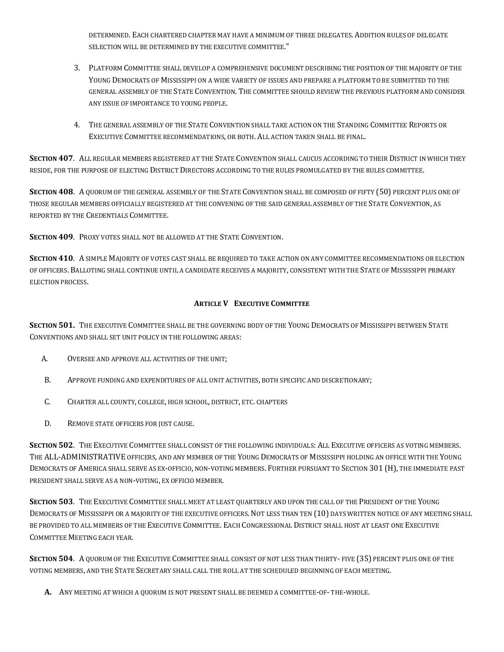DETERMINED. EACH CHARTERED CHAPTER MAY HAVE A MINIMUM OF THREE DELEGATES. ADDITION RULES OF DELEGATE SELECTION WILL BE DETERMINED BY THE EXECUTIVE COMMITTEE."

- 3. PLATFORM COMMITTEE SHALL DEVELOP A COMPREHENSIVE DOCUMENT DESCRIBING THE POSITION OF THE MAJORITY OF THE YOUNG DEMOCRATS OF MISSISSIPPI ON A WIDE VARIETY OF ISSUES AND PREPARE A PLATFORM TO BE SUBMITTED TO THE GENERAL ASSEMBLY OF THE STATE CONVENTION. THE COMMITTEE SHOULD REVIEW THE PREVIOUS PLATFORM AND CONSIDER ANY ISSUE OF IMPORTANCE TO YOUNG PEOPLE.
- 4. THE GENERAL ASSEMBLY OF THE STATE CONVENTION SHALL TAKE ACTION ON THE STANDING COMMITTEE REPORTS OR EXECUTIVE COMMITTEE RECOMMENDATIONS, OR BOTH. ALL ACTION TAKEN SHALL BE FINAL.

**SECTION 407**. ALL REGULAR MEMBERS REGISTERED AT THE STATE CONVENTION SHALL CAUCUS ACCORDING TO THEIR DISTRICT IN WHICH THEY RESIDE, FOR THE PURPOSE OF ELECTING DISTRICT DIRECTORS ACCORDING TO THE RULES PROMULGATED BY THE RULES COMMITTEE.

**SECTION 408**. A QUORUM OF THE GENERAL ASSEMBLY OF THE STATE CONVENTION SHALL BE COMPOSED OF FIFTY (50) PERCENT PLUS ONE OF THOSE REGULAR MEMBERS OFFICIALLY REGISTERED AT THE CONVENING OF THE SAID GENERAL ASSEMBLY OF THE STATE CONVENTION, AS REPORTED BY THE CREDENTIALS COMMITTEE.

**SECTION 409**. PROXY VOTES SHALL NOT BE ALLOWED AT THE STATE CONVENTION.

**SECTION 410**. A SIMPLE MAJORITY OF VOTES CAST SHALL BE REQUIRED TO TAKE ACTION ON ANY COMMITTEE RECOMMENDATIONS OR ELECTION OF OFFICERS. BALLOTING SHALL CONTINUE UNTIL A CANDIDATE RECEIVES A MAJORITY, CONSISTENT WITH THE STATE OF MISSISSIPPI PRIMARY ELECTION PROCESS.

## **ARTICLE V EXECUTIVE COMMITTEE**

**SECTION 501.** THE EXECUTIVE COMMITTEE SHALL BE THE GOVERNING BODY OF THE YOUNG DEMOCRATS OF MISSISSIPPI BETWEEN STATE CONVENTIONS AND SHALL SET UNIT POLICY IN THE FOLLOWING AREAS:

- A. OVERSEE AND APPROVE ALL ACTIVITIES OF THE UNIT;
- B. APPROVE FUNDING AND EXPENDITURES OF ALL UNIT ACTIVITIES, BOTH SPECIFIC AND DISCRETIONARY;
- C. CHARTER ALL COUNTY, COLLEGE, HIGH SCHOOL, DISTRICT, ETC. CHAPTERS
- D. REMOVE STATE OFFICERS FOR JUST CAUSE.

**SECTION 502**. THE EXECUTIVE COMMITTEE SHALL CONSIST OF THE FOLLOWING INDIVIDUALS: ALL EXECUTIVE OFFICERS AS VOTING MEMBERS. THE ALL-ADMINISTRATIVE OFFICERS, AND ANY MEMBER OF THE YOUNG DEMOCRATS OF MISSISSIPPI HOLDING AN OFFICE WITH THE YOUNG DEMOCRATS OF AMERICA SHALL SERVE AS EX-OFFICIO, NON-VOTING MEMBERS. FURTHER PURSUANT TO SECTION 301 (H), THE IMMEDIATE PAST PRESIDENT SHALL SERVE AS A NON-VOTING, EX OFFICIO MEMBER.

**SECTION 503**. THE EXECUTIVE COMMITTEE SHALL MEET AT LEAST QUARTERLY AND UPON THE CALL OF THE PRESIDENT OF THE YOUNG DEMOCRATS OF MISSISSIPPI OR A MAJORITY OF THE EXECUTIVE OFFICERS. NOT LESS THAN TEN (10) DAYS WRITTEN NOTICE OF ANY MEETING SHALL BE PROVIDED TO ALL MEMBERS OF THE EXECUTIVE COMMITTEE. EACH CONGRESSIONAL DISTRICT SHALL HOST AT LEAST ONE EXECUTIVE COMMITTEE MEETING EACH YEAR.

**SECTION 504**. A QUORUM OF THE EXECUTIVE COMMITTEE SHALL CONSIST OF NOT LESS THAN THIRTY- FIVE (35) PERCENT PLUS ONE OF THE VOTING MEMBERS, AND THE STATE SECRETARY SHALL CALL THE ROLL AT THE SCHEDULED BEGINNING OF EACH MEETING.

**A.** ANY MEETING AT WHICH A QUORUM IS NOT PRESENT SHALL BE DEEMED A COMMITTEE-OF- THE-WHOLE.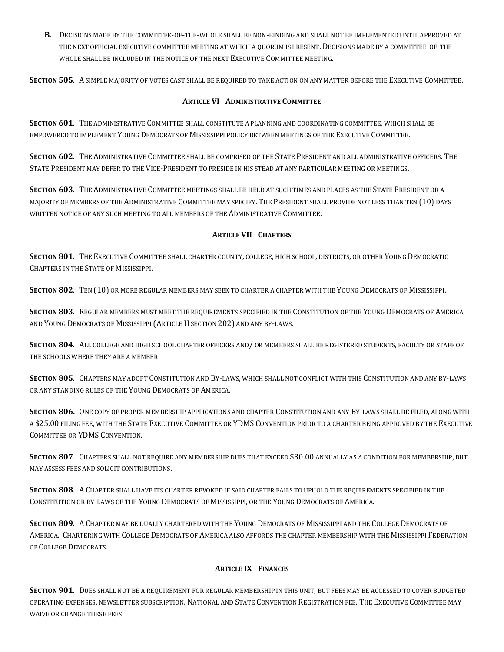**B.** DECISIONS MADE BY THE COMMITTEE-OF-THE-WHOLE SHALL BE NON-BINDING AND SHALL NOT BE IMPLEMENTED UNTIL APPROVED AT THE NEXT OFFICIAL EXECUTIVE COMMITTEE MEETING AT WHICH A QUORUM IS PRESENT. DECISIONS MADE BY A COMMITTEE-OF-THE-WHOLE SHALL BE INCLUDED IN THE NOTICE OF THE NEXT EXECUTIVE COMMITTEE MEETING.

**SECTION 505**. A SIMPLE MAJORITY OF VOTES CAST SHALL BE REQUIRED TO TAKE ACTION ON ANY MATTER BEFORE THE EXECUTIVE COMMITTEE.

### **ARTICLE VI ADMINISTRATIVE COMMITTEE**

**SECTION 601**. THE ADMINISTRATIVE COMMITTEE SHALL CONSTITUTE A PLANNING AND COORDINATING COMMITTEE, WHICH SHALL BE EMPOWERED TO IMPLEMENT YOUNG DEMOCRATS OF MISSISSIPPI POLICY BETWEEN MEETINGS OF THE EXECUTIVE COMMITTEE.

**SECTION 602**. THE ADMINISTRATIVE COMMITTEE SHALL BE COMPRISED OF THE STATE PRESIDENT AND ALL ADMINISTRATIVE OFFICERS. THE STATE PRESIDENT MAY DEFER TO THE VICE-PRESIDENT TO PRESIDE IN HIS STEAD AT ANY PARTICULAR MEETING OR MEETINGS.

**SECTION 603**. THE ADMINISTRATIVE COMMITTEE MEETINGS SHALL BE HELD AT SUCH TIMES AND PLACES AS THE STATE PRESIDENT OR A MAJORITY OF MEMBERS OF THE ADMINISTRATIVE COMMITTEE MAY SPECIFY. THE PRESIDENT SHALL PROVIDE NOT LESS THAN TEN (10) DAYS WRITTEN NOTICE OF ANY SUCH MEETING TO ALL MEMBERS OF THE ADMINISTRATIVE COMMITTEE.

## **ARTICLE VII CHAPTERS**

**SECTION 801**. THE EXECUTIVE COMMITTEE SHALL CHARTER COUNTY, COLLEGE, HIGH SCHOOL, DISTRICTS, OR OTHER YOUNG DEMOCRATIC CHAPTERS IN THE STATE OF MISSISSIPPI.

**SECTION 802**. TEN (10) OR MORE REGULAR MEMBERS MAY SEEK TO CHARTER A CHAPTER WITH THE YOUNG DEMOCRATS OF MISSISSIPPI.

**SECTION 803**. REGULAR MEMBERS MUST MEET THE REQUIREMENTS SPECIFIED IN THE CONSTITUTION OF THE YOUNG DEMOCRATS OF AMERICA AND YOUNG DEMOCRATS OF MISSISSIPPI (ARTICLE II SECTION 202) AND ANY BY-LAWS.

**SECTION 804**. ALL COLLEGE AND HIGH SCHOOL CHAPTER OFFICERS AND/ OR MEMBERS SHALL BE REGISTERED STUDENTS, FACULTY OR STAFF OF THE SCHOOLS WHERE THEY ARE A MEMBER.

**SECTION 805**. CHAPTERS MAY ADOPT CONSTITUTION AND BY-LAWS, WHICH SHALL NOT CONFLICT WITH THIS CONSTITUTION AND ANY BY-LAWS OR ANY STANDING RULES OF THE YOUNG DEMOCRATS OF AMERICA.

**SECTION 806.** ONE COPY OF PROPER MEMBERSHIP APPLICATIONS AND CHAPTER CONSTITUTION AND ANY BY-LAWS SHALL BE FILED, ALONG WITH A \$25.00 FILING FEE, WITH THE STATE EXECUTIVE COMMITTEE OR YDMS CONVENTION PRIOR TO A CHARTER BEING APPROVED BY THE EXECUTIVE COMMITTEE OR YDMS CONVENTION.

**SECTION 807**. CHAPTERS SHALL NOT REQUIRE ANY MEMBERSHIP DUES THAT EXCEED \$30.00 ANNUALLY AS A CONDITION FOR MEMBERSHIP, BUT MAY ASSESS FEES AND SOLICIT CONTRIBUTIONS.

**SECTION 808**. A CHAPTER SHALL HAVE ITS CHARTER REVOKED IF SAID CHAPTER FAILS TO UPHOLD THE REQUIREMENTS SPECIFIED IN THE CONSTITUTION OR BY-LAWS OF THE YOUNG DEMOCRATS OF MISSISSIPPI, OR THE YOUNG DEMOCRATS OF AMERICA.

**SECTION 809**. A CHAPTER MAY BE DUALLY CHARTERED WITH THE YOUNG DEMOCRATS OF MISSISSIPPI AND THE COLLEGE DEMOCRATS OF AMERICA. CHARTERING WITH COLLEGE DEMOCRATS OF AMERICA ALSO AFFORDS THE CHAPTER MEMBERSHIP WITH THE MISSISSIPPI FEDERATION OF COLLEGE DEMOCRATS.

# **ARTICLE IX FINANCES**

**SECTION 901**. DUES SHALL NOT BE A REQUIREMENT FOR REGULAR MEMBERSHIP IN THIS UNIT, BUT FEES MAY BE ACCESSED TO COVER BUDGETED OPERATING EXPENSES, NEWSLETTER SUBSCRIPTION, NATIONAL AND STATE CONVENTION REGISTRATION FEE. THE EXECUTIVE COMMITTEE MAY WAIVE OR CHANGE THESE FEES.